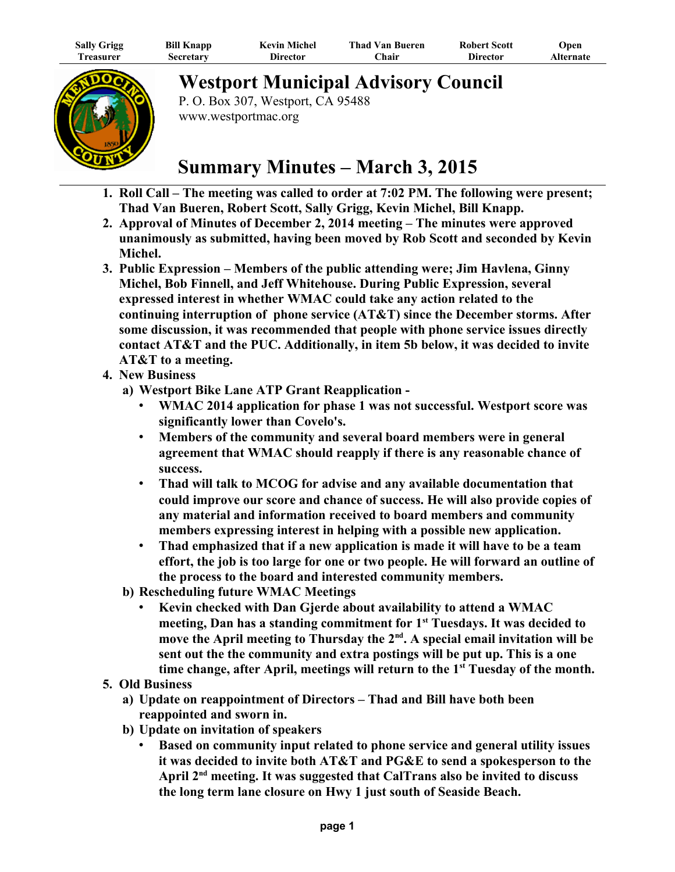| <b>Sally Grigg</b> | <b>Bill Knapp</b> | Kevin Michel    | <b>Thad Van Bueren</b> | <b>Robert Scott</b> | Open      |
|--------------------|-------------------|-----------------|------------------------|---------------------|-----------|
| 1 reasurer         | Secretary         | <b>Director</b> | <b>Chair</b>           | <b>Director</b>     | Alternate |



**Westport Municipal Advisory Council**

P. O. Box 307, Westport, CA 95488 www.westportmac.org

## **Summary Minutes – March 3, 2015**

- **1. Roll Call The meeting was called to order at 7:02 PM. The following were present; Thad Van Bueren, Robert Scott, Sally Grigg, Kevin Michel, Bill Knapp.**
- **2. Approval of Minutes of December 2, 2014 meeting The minutes were approved unanimously as submitted, having been moved by Rob Scott and seconded by Kevin Michel.**
- **3. Public Expression Members of the public attending were; Jim Havlena, Ginny Michel, Bob Finnell, and Jeff Whitehouse. During Public Expression, several expressed interest in whether WMAC could take any action related to the continuing interruption of phone service (AT&T) since the December storms. After some discussion, it was recommended that people with phone service issues directly contact AT&T and the PUC. Additionally, in item 5b below, it was decided to invite AT&T to a meeting.**
- **4. New Business** 
	- **a) Westport Bike Lane ATP Grant Reapplication** 
		- **WMAC 2014 application for phase 1 was not successful. Westport score was significantly lower than Covelo's.**
		- **Members of the community and several board members were in general agreement that WMAC should reapply if there is any reasonable chance of success.**
		- **Thad will talk to MCOG for advise and any available documentation that could improve our score and chance of success. He will also provide copies of any material and information received to board members and community members expressing interest in helping with a possible new application.**
		- **Thad emphasized that if a new application is made it will have to be a team effort, the job is too large for one or two people. He will forward an outline of the process to the board and interested community members.**
	- **b) Rescheduling future WMAC Meetings**
		- **Kevin checked with Dan Gjerde about availability to attend a WMAC meeting, Dan has a standing commitment for 1st Tuesdays. It was decided to move the April meeting to Thursday the 2nd. A special email invitation will be sent out the the community and extra postings will be put up. This is a one time change, after April, meetings will return to the 1st Tuesday of the month.**
- **5. Old Business**
	- **a) Update on reappointment of Directors Thad and Bill have both been reappointed and sworn in.**
	- **b) Update on invitation of speakers**
		- **Based on community input related to phone service and general utility issues it was decided to invite both AT&T and PG&E to send a spokesperson to the April 2nd meeting. It was suggested that CalTrans also be invited to discuss the long term lane closure on Hwy 1 just south of Seaside Beach.**